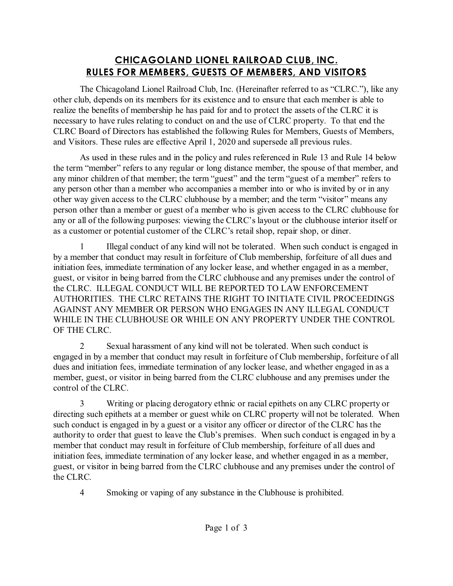## **CHICAGOLAND LIONEL RAILROAD CLUB, INC. RULES FOR MEMBERS, GUESTS OF MEMBERS, AND VISITORS**

The Chicagoland Lionel Railroad Club, Inc. (Hereinafter referred to as "CLRC."), like any other club, depends on its members for its existence and to ensure that each member is able to realize the benefits of membership he has paid for and to protect the assets of the CLRC it is necessary to have rules relating to conduct on and the use of CLRC property. To that end the CLRC Board of Directors has established the following Rules for Members, Guests of Members, and Visitors. These rules are effective April 1, 2020 and supersede all previous rules.

As used in these rules and in the policy and rules referenced in Rule 13 and Rule 14 below the term "member" refers to any regular or long distance member, the spouse of that member, and any minor children of that member; the term "guest" and the term "guest of a member" refers to any person other than a member who accompanies a member into or who is invited by or in any other way given access to the CLRC clubhouse by a member; and the term "visitor" means any person other than a member or guest of a member who is given access to the CLRC clubhouse for any or all of the following purposes: viewing the CLRC's layout or the clubhouse interior itself or as a customer or potential customer of the CLRC's retail shop, repair shop, or diner.

1 Illegal conduct of any kind will not be tolerated. When such conduct is engaged in by a member that conduct may result in forfeiture of Club membership, forfeiture of all dues and initiation fees, immediate termination of any locker lease, and whether engaged in as a member, guest, or visitor in being barred from the CLRC clubhouse and any premises under the control of the CLRC. ILLEGAL CONDUCT WILL BE REPORTED TO LAW ENFORCEMENT AUTHORITIES. THE CLRC RETAINS THE RIGHT TO INITIATE CIVIL PROCEEDINGS AGAINST ANY MEMBER OR PERSON WHO ENGAGES IN ANY ILLEGAL CONDUCT WHILE IN THE CLUBHOUSE OR WHILE ON ANY PROPERTY UNDER THE CONTROL OF THE CLRC.

2 Sexual harassment of any kind will not be tolerated. When such conduct is engaged in by a member that conduct may result in forfeiture of Club membership, forfeiture of all dues and initiation fees, immediate termination of any locker lease, and whether engaged in as a member, guest, or visitor in being barred from the CLRC clubhouse and any premises under the control of the CLRC.

3 Writing or placing derogatory ethnic or racial epithets on any CLRC property or directing such epithets at a member or guest while on CLRC property will not be tolerated. When such conduct is engaged in by a guest or a visitor any officer or director of the CLRC has the authority to order that guest to leave the Club's premises. When such conduct is engaged in by a member that conduct may result in forfeiture of Club membership, forfeiture of all dues and initiation fees, immediate termination of any locker lease, and whether engaged in as a member, guest, or visitor in being barred from the CLRC clubhouse and any premises under the control of the CLRC.

4 Smoking or vaping of any substance in the Clubhouse is prohibited.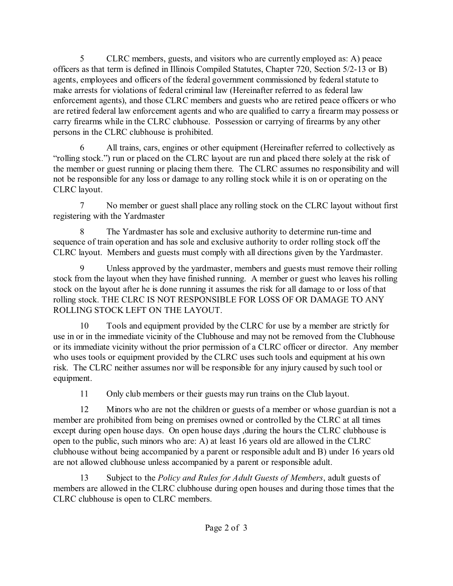5 CLRC members, guests, and visitors who are currently employed as: A) peace officers as that term is defined in Illinois Compiled Statutes, Chapter 720, Section 5/2-13 or B) agents, employees and officers of the federal government commissioned by federal statute to make arrests for violations of federal criminal law (Hereinafter referred to as federal law enforcement agents), and those CLRC members and guests who are retired peace officers or who are retired federal law enforcement agents and who are qualified to carry a firearm may possess or carry firearms while in the CLRC clubhouse. Possession or carrying of firearms by any other persons in the CLRC clubhouse is prohibited.

6 All trains, cars, engines or other equipment (Hereinafter referred to collectively as "rolling stock.") run or placed on the CLRC layout are run and placed there solely at the risk of the member or guest running or placing them there. The CLRC assumes no responsibility and will not be responsible for any loss or damage to any rolling stock while it is on or operating on the CLRC layout.

7 No member or guest shall place any rolling stock on the CLRC layout without first registering with the Yardmaster

8 The Yardmaster has sole and exclusive authority to determine run-time and sequence of train operation and has sole and exclusive authority to order rolling stock off the CLRC layout. Members and guests must comply with all directions given by the Yardmaster.

9 Unless approved by the yardmaster, members and guests must remove their rolling stock from the layout when they have finished running. A member or guest who leaves his rolling stock on the layout after he is done running it assumes the risk for all damage to or loss of that rolling stock. THE CLRC IS NOT RESPONSIBLE FOR LOSS OF OR DAMAGE TO ANY ROLLING STOCK LEFT ON THE LAYOUT.

10 Tools and equipment provided by the CLRC for use by a member are strictly for use in or in the immediate vicinity of the Clubhouse and may not be removed from the Clubhouse or its immediate vicinity without the prior permission of a CLRC officer or director. Any member who uses tools or equipment provided by the CLRC uses such tools and equipment at his own risk. The CLRC neither assumes nor will be responsible for any injury caused by such tool or equipment.

11 Only club members or their guests may run trains on the Club layout.

12 Minors who are not the children or guests of a member or whose guardian is not a member are prohibited from being on premises owned or controlled by the CLRC at all times except during open house days. On open house days ,during the hours the CLRC clubhouse is open to the public, such minors who are: A) at least 16 years old are allowed in the CLRC clubhouse without being accompanied by a parent or responsible adult and B) under 16 years old are not allowed clubhouse unless accompanied by a parent or responsible adult.

13 Subject to the *Policy and Rules for Adult Guests of Members*, adult guests of members are allowed in the CLRC clubhouse during open houses and during those times that the CLRC clubhouse is open to CLRC members.